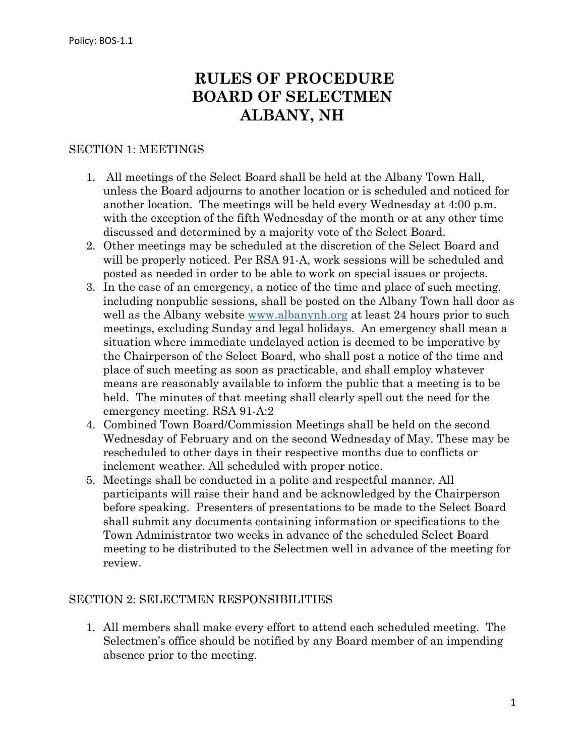# **RULES OF PROCEDURE BOARD OF SELECTMEN ALBANY, NH**

#### SECTION 1: MEETINGS

- 1. All meetings of the Select Board shall be held at the Albany Town Hall, unless the Board adjourns to another location or is scheduled and noticed for another location. The meetings will be held every Wednesday at 4:00 p.m. with the exception of the fifth Wednesday of the month or at any other time discussed and determined by a majority vote of the Select Board.
- 2. Other meetings may be scheduled at the discretion of the Select Board and will be properly noticed. Per RSA 91-A, work sessions will be scheduled and posted as needed in order to be able to work on special issues or projects.
- 3. In the case of an emergency, a notice of the time and place of such meeting, including nonpublic sessions, shall be posted on the Albany Town hall door as well as the Albany website [www.albanynh.org](http://www.albanynh.org/) at least 24 hours prior to such meetings, excluding Sunday and legal holidays. An emergency shall mean a situation where immediate undelayed action is deemed to be imperative by the Chairperson of the Select Board, who shall post a notice of the time and place of such meeting as soon as practicable, and shall employ whatever means are reasonably available to inform the public that a meeting is to be held. The minutes of that meeting shall clearly spell out the need for the emergency meeting. RSA 91-A:2
- 4. Combined Town Board/Commission Meetings shall be held on the second Wednesday of February and on the second Wednesday of May. These may be rescheduled to other days in their respective months due to conflicts or inclement weather. All scheduled with proper notice.
- 5. Meetings shall be conducted in a polite and respectful manner. All participants will raise their hand and be acknowledged by the Chairperson before speaking. Presenters of presentations to be made to the Select Board shall submit any documents containing information or specifications to the Town Administrator two weeks in advance of the scheduled Select Board meeting to be distributed to the Selectmen well in advance of the meeting for review.

#### SECTION 2: SELECTMEN RESPONSIBILITIES

1. All members shall make every effort to attend each scheduled meeting. The Selectmen's office should be notified by any Board member of an impending absence prior to the meeting.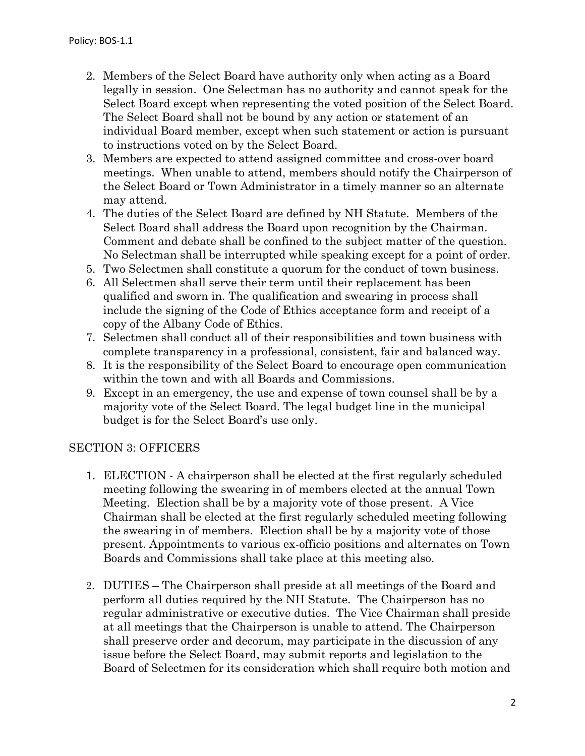- 2. Members of the Select Board have authority only when acting as a Board legally in session. One Selectman has no authority and cannot speak for the Select Board except when representing the voted position of the Select Board. The Select Board shall not be bound by any action or statement of an individual Board member, except when such statement or action is pursuant to instructions voted on by the Select Board.
- 3. Members are expected to attend assigned committee and cross-over board meetings. When unable to attend, members should notify the Chairperson of the Select Board or Town Administrator in a timely manner so an alternate may attend.
- 4. The duties of the Select Board are defined by NH Statute. Members of the Select Board shall address the Board upon recognition by the Chairman. Comment and debate shall be confined to the subject matter of the question. No Selectman shall be interrupted while speaking except for a point of order.
- 5. Two Selectmen shall constitute a quorum for the conduct of town business.
- 6. All Selectmen shall serve their term until their replacement has been qualified and sworn in. The qualification and swearing in process shall include the signing of the Code of Ethics acceptance form and receipt of a copy of the Albany Code of Ethics.
- 7. Selectmen shall conduct all of their responsibilities and town business with complete transparency in a professional, consistent, fair and balanced way.
- 8. It is the responsibility of the Select Board to encourage open communication within the town and with all Boards and Commissions.
- 9. Except in an emergency, the use and expense of town counsel shall be by a majority vote of the Select Board. The legal budget line in the municipal budget is for the Select Board's use only.

### SECTION 3: OFFICERS

- 1. ELECTION A chairperson shall be elected at the first regularly scheduled meeting following the swearing in of members elected at the annual Town Meeting. Election shall be by a majority vote of those present. A Vice Chairman shall be elected at the first regularly scheduled meeting following the swearing in of members. Election shall be by a majority vote of those present. Appointments to various ex-officio positions and alternates on Town Boards and Commissions shall take place at this meeting also.
- 2. DUTIES The Chairperson shall preside at all meetings of the Board and perform all duties required by the NH Statute. The Chairperson has no regular administrative or executive duties. The Vice Chairman shall preside at all meetings that the Chairperson is unable to attend. The Chairperson shall preserve order and decorum, may participate in the discussion of any issue before the Select Board, may submit reports and legislation to the Board of Selectmen for its consideration which shall require both motion and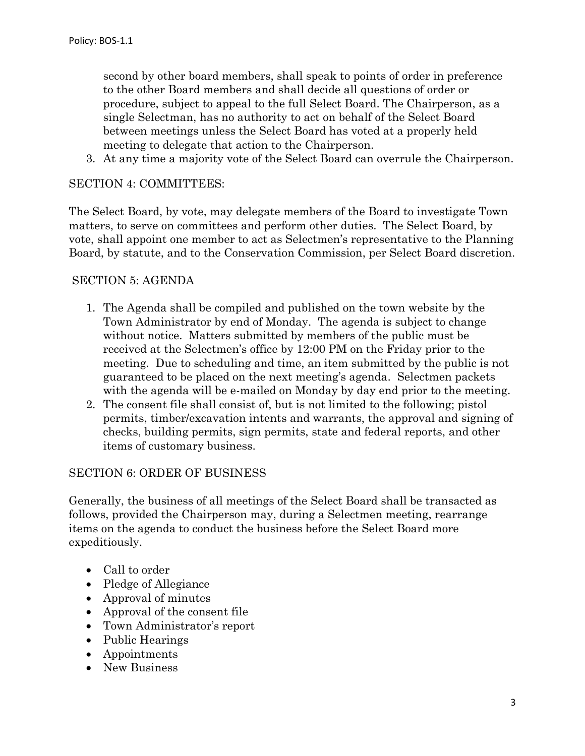second by other board members, shall speak to points of order in preference to the other Board members and shall decide all questions of order or procedure, subject to appeal to the full Select Board. The Chairperson, as a single Selectman, has no authority to act on behalf of the Select Board between meetings unless the Select Board has voted at a properly held meeting to delegate that action to the Chairperson.

3. At any time a majority vote of the Select Board can overrule the Chairperson.

#### SECTION 4: COMMITTEES:

The Select Board, by vote, may delegate members of the Board to investigate Town matters, to serve on committees and perform other duties. The Select Board, by vote, shall appoint one member to act as Selectmen's representative to the Planning Board, by statute, and to the Conservation Commission, per Select Board discretion.

#### SECTION 5: AGENDA

- 1. The Agenda shall be compiled and published on the town website by the Town Administrator by end of Monday. The agenda is subject to change without notice. Matters submitted by members of the public must be received at the Selectmen's office by 12:00 PM on the Friday prior to the meeting. Due to scheduling and time, an item submitted by the public is not guaranteed to be placed on the next meeting's agenda. Selectmen packets with the agenda will be e-mailed on Monday by day end prior to the meeting.
- 2. The consent file shall consist of, but is not limited to the following; pistol permits, timber/excavation intents and warrants, the approval and signing of checks, building permits, sign permits, state and federal reports, and other items of customary business.

#### SECTION 6: ORDER OF BUSINESS

Generally, the business of all meetings of the Select Board shall be transacted as follows, provided the Chairperson may, during a Selectmen meeting, rearrange items on the agenda to conduct the business before the Select Board more expeditiously.

- Call to order
- Pledge of Allegiance
- Approval of minutes
- Approval of the consent file
- Town Administrator's report
- Public Hearings
- Appointments
- New Business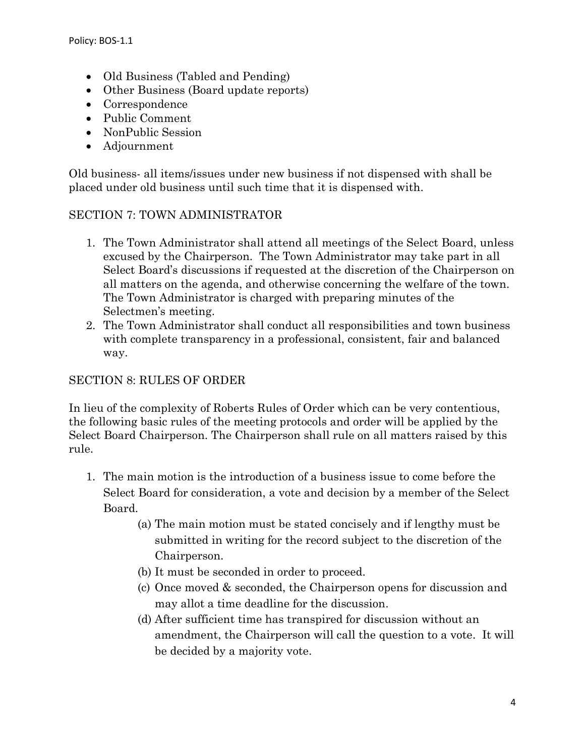- Old Business (Tabled and Pending)
- Other Business (Board update reports)
- Correspondence
- Public Comment
- NonPublic Session
- Adjournment

Old business- all items/issues under new business if not dispensed with shall be placed under old business until such time that it is dispensed with.

## SECTION 7: TOWN ADMINISTRATOR

- 1. The Town Administrator shall attend all meetings of the Select Board, unless excused by the Chairperson. The Town Administrator may take part in all Select Board's discussions if requested at the discretion of the Chairperson on all matters on the agenda, and otherwise concerning the welfare of the town. The Town Administrator is charged with preparing minutes of the Selectmen's meeting.
- 2. The Town Administrator shall conduct all responsibilities and town business with complete transparency in a professional, consistent, fair and balanced way.

### SECTION 8: RULES OF ORDER

In lieu of the complexity of Roberts Rules of Order which can be very contentious, the following basic rules of the meeting protocols and order will be applied by the Select Board Chairperson. The Chairperson shall rule on all matters raised by this rule.

- 1. The main motion is the introduction of a business issue to come before the Select Board for consideration, a vote and decision by a member of the Select Board.
	- (a) The main motion must be stated concisely and if lengthy must be submitted in writing for the record subject to the discretion of the Chairperson.
	- (b) It must be seconded in order to proceed.
	- (c) Once moved & seconded, the Chairperson opens for discussion and may allot a time deadline for the discussion.
	- (d) After sufficient time has transpired for discussion without an amendment, the Chairperson will call the question to a vote. It will be decided by a majority vote.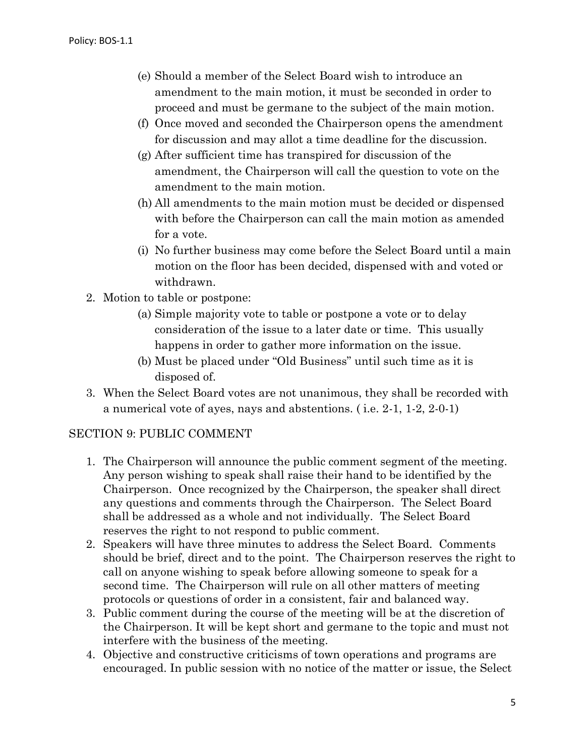- (e) Should a member of the Select Board wish to introduce an amendment to the main motion, it must be seconded in order to proceed and must be germane to the subject of the main motion.
- (f) Once moved and seconded the Chairperson opens the amendment for discussion and may allot a time deadline for the discussion.
- (g) After sufficient time has transpired for discussion of the amendment, the Chairperson will call the question to vote on the amendment to the main motion.
- (h) All amendments to the main motion must be decided or dispensed with before the Chairperson can call the main motion as amended for a vote.
- (i) No further business may come before the Select Board until a main motion on the floor has been decided, dispensed with and voted or withdrawn.
- 2. Motion to table or postpone:
	- (a) Simple majority vote to table or postpone a vote or to delay consideration of the issue to a later date or time. This usually happens in order to gather more information on the issue.
	- (b) Must be placed under "Old Business" until such time as it is disposed of.
- 3. When the Select Board votes are not unanimous, they shall be recorded with a numerical vote of ayes, nays and abstentions. ( i.e. 2-1, 1-2, 2-0-1)

#### SECTION 9: PUBLIC COMMENT

- 1. The Chairperson will announce the public comment segment of the meeting. Any person wishing to speak shall raise their hand to be identified by the Chairperson. Once recognized by the Chairperson, the speaker shall direct any questions and comments through the Chairperson. The Select Board shall be addressed as a whole and not individually. The Select Board reserves the right to not respond to public comment.
- 2. Speakers will have three minutes to address the Select Board. Comments should be brief, direct and to the point. The Chairperson reserves the right to call on anyone wishing to speak before allowing someone to speak for a second time. The Chairperson will rule on all other matters of meeting protocols or questions of order in a consistent, fair and balanced way.
- 3. Public comment during the course of the meeting will be at the discretion of the Chairperson. It will be kept short and germane to the topic and must not interfere with the business of the meeting.
- 4. Objective and constructive criticisms of town operations and programs are encouraged. In public session with no notice of the matter or issue, the Select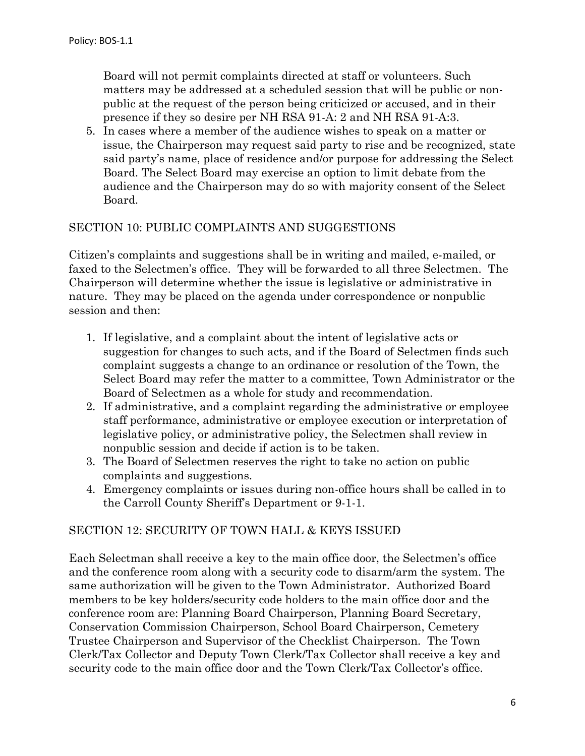Board will not permit complaints directed at staff or volunteers. Such matters may be addressed at a scheduled session that will be public or nonpublic at the request of the person being criticized or accused, and in their presence if they so desire per NH RSA 91-A: 2 and NH RSA 91-A:3.

5. In cases where a member of the audience wishes to speak on a matter or issue, the Chairperson may request said party to rise and be recognized, state said party's name, place of residence and/or purpose for addressing the Select Board. The Select Board may exercise an option to limit debate from the audience and the Chairperson may do so with majority consent of the Select Board.

#### SECTION 10: PUBLIC COMPLAINTS AND SUGGESTIONS

Citizen's complaints and suggestions shall be in writing and mailed, e-mailed, or faxed to the Selectmen's office. They will be forwarded to all three Selectmen. The Chairperson will determine whether the issue is legislative or administrative in nature. They may be placed on the agenda under correspondence or nonpublic session and then:

- 1. If legislative, and a complaint about the intent of legislative acts or suggestion for changes to such acts, and if the Board of Selectmen finds such complaint suggests a change to an ordinance or resolution of the Town, the Select Board may refer the matter to a committee, Town Administrator or the Board of Selectmen as a whole for study and recommendation.
- 2. If administrative, and a complaint regarding the administrative or employee staff performance, administrative or employee execution or interpretation of legislative policy, or administrative policy, the Selectmen shall review in nonpublic session and decide if action is to be taken.
- 3. The Board of Selectmen reserves the right to take no action on public complaints and suggestions.
- 4. Emergency complaints or issues during non-office hours shall be called in to the Carroll County Sheriff's Department or 9-1-1.

#### SECTION 12: SECURITY OF TOWN HALL & KEYS ISSUED

Each Selectman shall receive a key to the main office door, the Selectmen's office and the conference room along with a security code to disarm/arm the system. The same authorization will be given to the Town Administrator. Authorized Board members to be key holders/security code holders to the main office door and the conference room are: Planning Board Chairperson, Planning Board Secretary, Conservation Commission Chairperson, School Board Chairperson, Cemetery Trustee Chairperson and Supervisor of the Checklist Chairperson. The Town Clerk/Tax Collector and Deputy Town Clerk/Tax Collector shall receive a key and security code to the main office door and the Town Clerk/Tax Collector's office.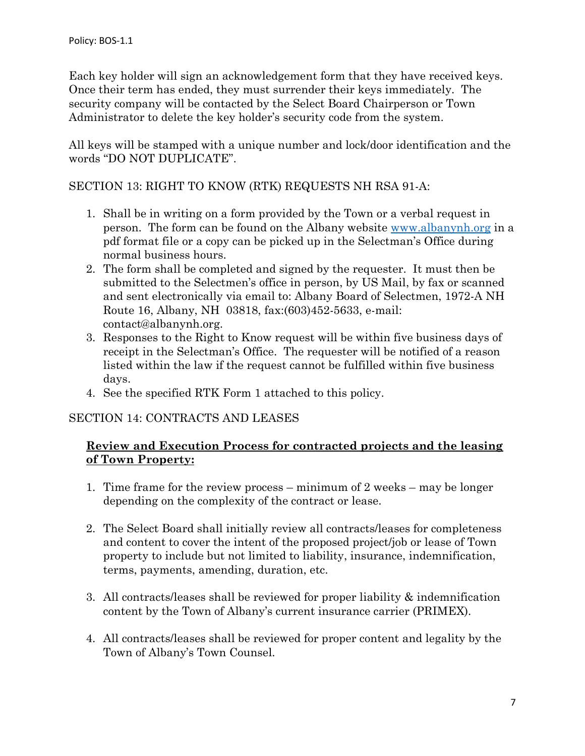Each key holder will sign an acknowledgement form that they have received keys. Once their term has ended, they must surrender their keys immediately. The security company will be contacted by the Select Board Chairperson or Town Administrator to delete the key holder's security code from the system.

All keys will be stamped with a unique number and lock/door identification and the words "DO NOT DUPLICATE".

#### SECTION 13: RIGHT TO KNOW (RTK) REQUESTS NH RSA 91-A:

- 1. Shall be in writing on a form provided by the Town or a verbal request in person. The form can be found on the Albany website [www.albanynh.org](http://www.albanynh.org/) in a pdf format file or a copy can be picked up in the Selectman's Office during normal business hours.
- 2. The form shall be completed and signed by the requester. It must then be submitted to the Selectmen's office in person, by US Mail, by fax or scanned and sent electronically via email to: Albany Board of Selectmen, 1972-A NH Route 16, Albany, NH 03818, fax:(603)452-5633, e-mail: contact@albanynh.org.
- 3. Responses to the Right to Know request will be within five business days of receipt in the Selectman's Office. The requester will be notified of a reason listed within the law if the request cannot be fulfilled within five business days.
- 4. See the specified RTK Form 1 attached to this policy.

#### SECTION 14: CONTRACTS AND LEASES

#### **Review and Execution Process for contracted projects and the leasing of Town Property:**

- 1. Time frame for the review process minimum of 2 weeks may be longer depending on the complexity of the contract or lease.
- 2. The Select Board shall initially review all contracts/leases for completeness and content to cover the intent of the proposed project/job or lease of Town property to include but not limited to liability, insurance, indemnification, terms, payments, amending, duration, etc.
- 3. All contracts/leases shall be reviewed for proper liability & indemnification content by the Town of Albany's current insurance carrier (PRIMEX).
- 4. All contracts/leases shall be reviewed for proper content and legality by the Town of Albany's Town Counsel.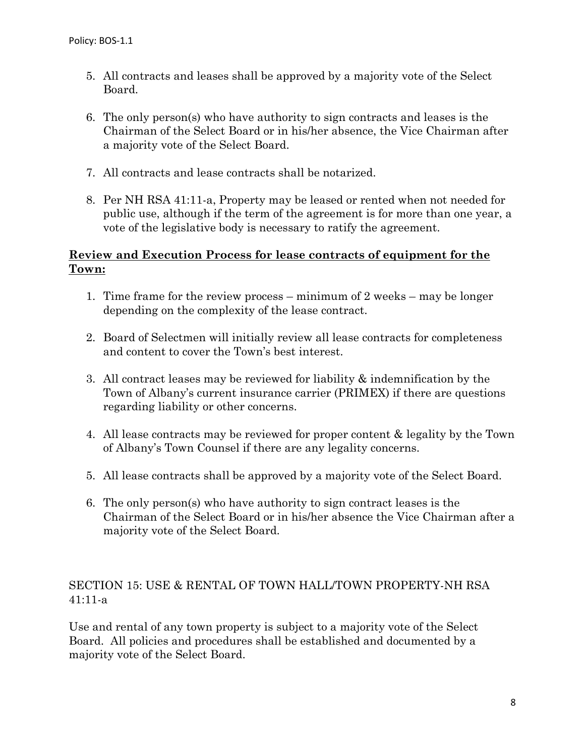- 5. All contracts and leases shall be approved by a majority vote of the Select Board.
- 6. The only person(s) who have authority to sign contracts and leases is the Chairman of the Select Board or in his/her absence, the Vice Chairman after a majority vote of the Select Board.
- 7. All contracts and lease contracts shall be notarized.
- 8. Per NH RSA 41:11-a, Property may be leased or rented when not needed for public use, although if the term of the agreement is for more than one year, a vote of the legislative body is necessary to ratify the agreement.

### **Review and Execution Process for lease contracts of equipment for the Town:**

- 1. Time frame for the review process minimum of 2 weeks may be longer depending on the complexity of the lease contract.
- 2. Board of Selectmen will initially review all lease contracts for completeness and content to cover the Town's best interest.
- 3. All contract leases may be reviewed for liability & indemnification by the Town of Albany's current insurance carrier (PRIMEX) if there are questions regarding liability or other concerns.
- 4. All lease contracts may be reviewed for proper content & legality by the Town of Albany's Town Counsel if there are any legality concerns.
- 5. All lease contracts shall be approved by a majority vote of the Select Board.
- 6. The only person(s) who have authority to sign contract leases is the Chairman of the Select Board or in his/her absence the Vice Chairman after a majority vote of the Select Board.

## SECTION 15: USE & RENTAL OF TOWN HALL/TOWN PROPERTY-NH RSA 41:11-a

Use and rental of any town property is subject to a majority vote of the Select Board. All policies and procedures shall be established and documented by a majority vote of the Select Board.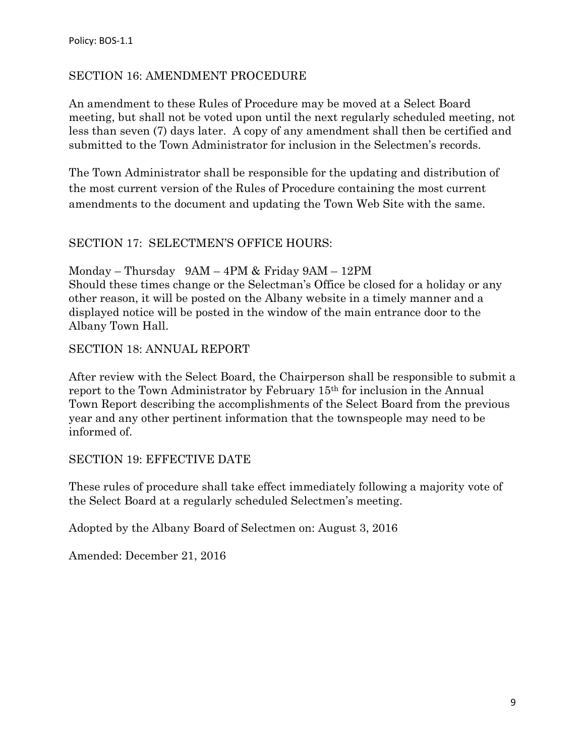#### SECTION 16: AMENDMENT PROCEDURE

An amendment to these Rules of Procedure may be moved at a Select Board meeting, but shall not be voted upon until the next regularly scheduled meeting, not less than seven (7) days later. A copy of any amendment shall then be certified and submitted to the Town Administrator for inclusion in the Selectmen's records.

The Town Administrator shall be responsible for the updating and distribution of the most current version of the Rules of Procedure containing the most current amendments to the document and updating the Town Web Site with the same.

#### SECTION 17: SELECTMEN'S OFFICE HOURS:

Monday – Thursday 9AM – 4PM & Friday 9AM – 12PM Should these times change or the Selectman's Office be closed for a holiday or any other reason, it will be posted on the Albany website in a timely manner and a displayed notice will be posted in the window of the main entrance door to the Albany Town Hall.

#### SECTION 18: ANNUAL REPORT

After review with the Select Board, the Chairperson shall be responsible to submit a report to the Town Administrator by February 15th for inclusion in the Annual Town Report describing the accomplishments of the Select Board from the previous year and any other pertinent information that the townspeople may need to be informed of.

#### SECTION 19: EFFECTIVE DATE

These rules of procedure shall take effect immediately following a majority vote of the Select Board at a regularly scheduled Selectmen's meeting.

Adopted by the Albany Board of Selectmen on: August 3, 2016

Amended: December 21, 2016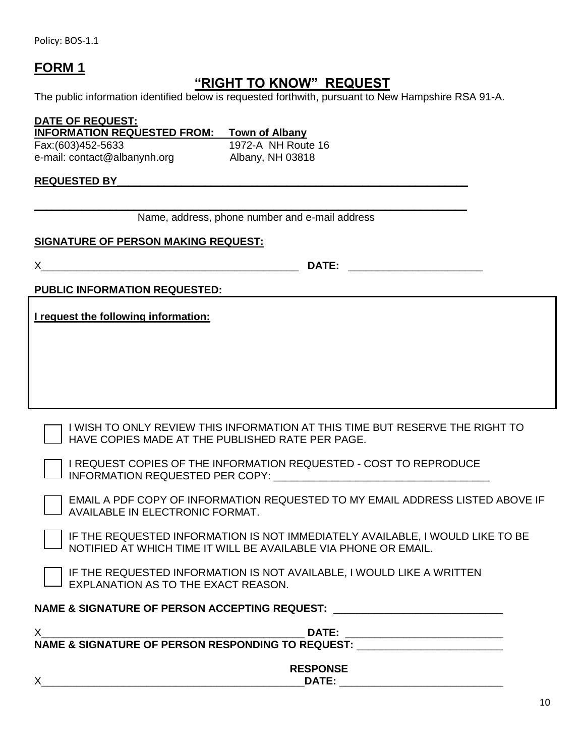Policy: BOS-1.1

# **FORM 1**

# **"RIGHT TO KNOW" REQUEST**

The public information identified below is requested forthwith, pursuant to New Hampshire RSA 91-A.

**DATE OF REQUEST: INFORMATION REQUESTED FROM: Town of Albany** Fax:(603)452-5633 1972-A NH Route 16 e-mail: contact@albanynh.org Albany, NH 03818

#### **REQUESTED BY\_\_\_\_\_\_\_\_\_\_\_\_\_\_\_\_\_\_\_\_\_\_\_\_\_\_\_\_\_\_\_\_\_\_\_\_\_\_\_\_\_\_\_\_\_\_\_\_\_\_\_\_\_\_\_\_\_\_\_\_**

**\_\_\_\_\_\_\_\_\_\_\_\_\_\_\_\_\_\_\_\_\_\_\_\_\_\_\_\_\_\_\_\_\_\_\_\_\_\_\_\_\_\_\_\_\_\_\_\_\_\_\_\_\_\_\_\_\_\_\_\_\_\_\_\_\_\_\_\_\_\_\_\_\_\_**  Name, address, phone number and e-mail address

#### **SIGNATURE OF PERSON MAKING REQUEST:**

X\_\_\_\_\_\_\_\_\_\_\_\_\_\_\_\_\_\_\_\_\_\_\_\_\_\_\_\_\_\_\_\_\_\_\_\_\_\_\_\_\_\_\_\_ **DATE:** \_\_\_\_\_\_\_\_\_\_\_\_\_\_\_\_\_\_\_\_\_\_\_

**PUBLIC INFORMATION REQUESTED:**

**I request the following information:** 

I WISH TO ONLY REVIEW THIS INFORMATION AT THIS TIME BUT RESERVE THE RIGHT TO HAVE COPIES MADE AT THE PUBLISHED RATE PER PAGE.

I REQUEST COPIES OF THE INFORMATION REQUESTED - COST TO REPRODUCE INFORMATION REQUESTED PER COPY: \_\_\_\_\_\_\_\_\_\_\_\_\_\_\_\_\_\_\_\_\_\_\_\_\_\_\_\_\_\_\_\_\_\_\_\_\_

EMAIL A PDF COPY OF INFORMATION REQUESTED TO MY EMAIL ADDRESS LISTED ABOVE IF AVAILABLE IN ELECTRONIC FORMAT.

IF THE REQUESTED INFORMATION IS NOT IMMEDIATELY AVAILABLE, I WOULD LIKE TO BE NOTIFIED AT WHICH TIME IT WILL BE AVAILABLE VIA PHONE OR EMAIL.

IF THE REQUESTED INFORMATION IS NOT AVAILABLE, I WOULD LIKE A WRITTEN EXPLANATION AS TO THE EXACT REASON.

#### NAME & SIGNATURE OF PERSON ACCEPTING REQUEST: \_\_\_\_\_\_\_\_\_\_\_\_\_\_\_\_\_\_\_\_\_\_\_\_\_\_\_\_\_\_\_\_\_\_

| DATE:                                                        |  |
|--------------------------------------------------------------|--|
| <b>NAME &amp; SIGNATURE OF PERSON RESPONDING TO REQUEST:</b> |  |
|                                                              |  |
| <b>RESPONSE</b>                                              |  |
| Х<br>DATE:                                                   |  |